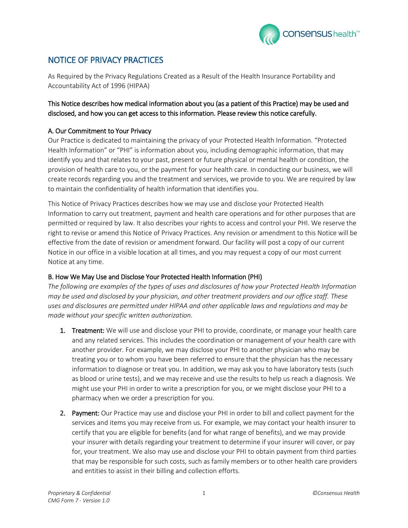

# NOTICE OF PRIVACY PRACTICES

As Required by the Privacy Regulations Created as a Result of the Health Insurance Portability and Accountability Act of 1996 (HIPAA)

### This Notice describes how medical information about you (as a patient of this Practice) may be used and disclosed, and how you can get access to this information. Please review this notice carefully.

### A. Our Commitment to Your Privacy

Our Practice is dedicated to maintaining the privacy of your Protected Health Information. "Protected Health Information" or "PHI" is information about you, including demographic information, that may identify you and that relates to your past, present or future physical or mental health or condition, the provision of health care to you, or the payment for your health care. In conducting our business, we will create records regarding you and the treatment and services, we provide to you. We are required by law to maintain the confidentiality of health information that identifies you.

This Notice of Privacy Practices describes how we may use and disclose your Protected Health Information to carry out treatment, payment and health care operations and for other purposes that are permitted or required by law. It also describes your rights to access and control your PHI. We reserve the right to revise or amend this Notice of Privacy Practices. Any revision or amendment to this Notice will be effective from the date of revision or amendment forward. Our facility will post a copy of our current Notice in our office in a visible location at all times, and you may request a copy of our most current Notice at any time.

### B. How We May Use and Disclose Your Protected Health Information (PHI)

*The following are examples of the types of uses and disclosures of how your Protected Health Information may be used and disclosed by your physician, and other treatment providers and our office staff. These uses and disclosures are permitted under HIPAA and other applicable laws and regulations and may be made without your specific written authorization.* 

- 1. Treatment: We will use and disclose your PHI to provide, coordinate, or manage your health care and any related services. This includes the coordination or management of your health care with another provider. For example, we may disclose your PHI to another physician who may be treating you or to whom you have been referred to ensure that the physician has the necessary information to diagnose or treat you. In addition, we may ask you to have laboratory tests (such as blood or urine tests), and we may receive and use the results to help us reach a diagnosis. We might use your PHI in order to write a prescription for you, or we might disclose your PHI to a pharmacy when we order a prescription for you.
- 2. Payment: Our Practice may use and disclose your PHI in order to bill and collect payment for the services and items you may receive from us. For example, we may contact your health insurer to certify that you are eligible for benefits (and for what range of benefits), and we may provide your insurer with details regarding your treatment to determine if your insurer will cover, or pay for, your treatment. We also may use and disclose your PHI to obtain payment from third parties that may be responsible for such costs, such as family members or to other health care providers and entities to assist in their billing and collection efforts*.*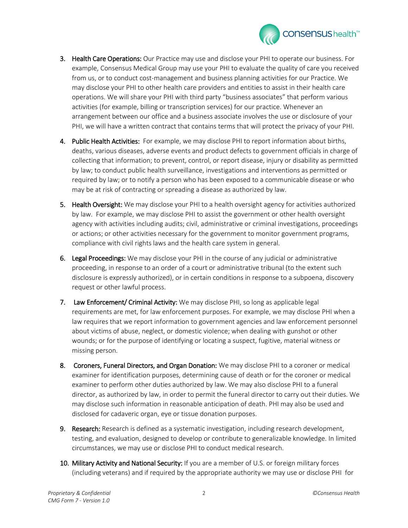

- 3. Health Care Operations: Our Practice may use and disclose your PHI to operate our business. For example, Consensus Medical Group may use your PHI to evaluate the quality of care you received from us, or to conduct cost-management and business planning activities for our Practice. We may disclose your PHI to other health care providers and entities to assist in their health care operations. We will share your PHI with third party "business associates" that perform various activities (for example, billing or transcription services) for our practice. Whenever an arrangement between our office and a business associate involves the use or disclosure of your PHI, we will have a written contract that contains terms that will protect the privacy of your PHI.
- 4. Public Health Activities: For example, we may disclose PHI to report information about births, deaths, various diseases, adverse events and product defects to government officials in charge of collecting that information; to prevent, control, or report disease, injury or disability as permitted by law; to conduct public health surveillance, investigations and interventions as permitted or required by law; or to notify a person who has been exposed to a communicable disease or who may be at risk of contracting or spreading a disease as authorized by law.
- 5. Health Oversight: We may disclose your PHI to a health oversight agency for activities authorized by law. For example, we may disclose PHI to assist the government or other health oversight agency with activities including audits; civil, administrative or criminal investigations, proceedings or actions; or other activities necessary for the government to monitor government programs, compliance with civil rights laws and the health care system in general.
- 6. Legal Proceedings: We may disclose your PHI in the course of any judicial or administrative proceeding, in response to an order of a court or administrative tribunal (to the extent such disclosure is expressly authorized), or in certain conditions in response to a subpoena, discovery request or other lawful process.
- 7. Law Enforcement/ Criminal Activity: We may disclose PHI, so long as applicable legal requirements are met, for law enforcement purposes. For example, we may disclose PHI when a law requires that we report information to government agencies and law enforcement personnel about victims of abuse, neglect, or domestic violence; when dealing with gunshot or other wounds; or for the purpose of identifying or locating a suspect, fugitive, material witness or missing person.
- 8. Coroners, Funeral Directors, and Organ Donation: We may disclose PHI to a coroner or medical examiner for identification purposes, determining cause of death or for the coroner or medical examiner to perform other duties authorized by law. We may also disclose PHI to a funeral director, as authorized by law, in order to permit the funeral director to carry out their duties. We may disclose such information in reasonable anticipation of death. PHI may also be used and disclosed for cadaveric organ, eye or tissue donation purposes.
- 9. Research: Research is defined as a systematic investigation, including research development, testing, and evaluation, designed to develop or contribute to generalizable knowledge. In limited circumstances, we may use or disclose PHI to conduct medical research.
- 10. Military Activity and National Security: If you are a member of U.S. or foreign military forces (including veterans) and if required by the appropriate authority we may use or disclose PHI for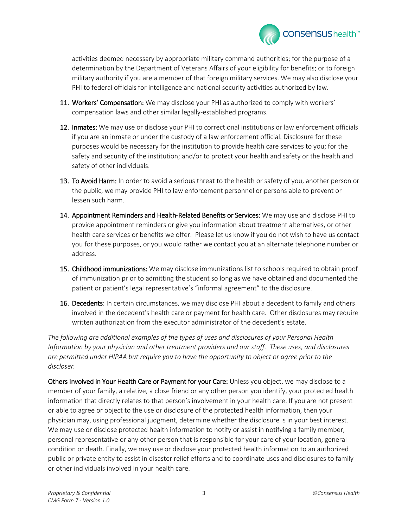

activities deemed necessary by appropriate military command authorities; for the purpose of a determination by the Department of Veterans Affairs of your eligibility for benefits; or to foreign military authority if you are a member of that foreign military services. We may also disclose your PHI to federal officials for intelligence and national security activities authorized by law.

- 11. Workers' Compensation: We may disclose your PHI as authorized to comply with workers' compensation laws and other similar legally-established programs.
- 12. Inmates: We may use or disclose your PHI to correctional institutions or law enforcement officials if you are an inmate or under the custody of a law enforcement official. Disclosure for these purposes would be necessary for the institution to provide health care services to you; for the safety and security of the institution; and/or to protect your health and safety or the health and safety of other individuals.
- 13. To Avoid Harm: In order to avoid a serious threat to the health or safety of you, another person or the public, we may provide PHI to law enforcement personnel or persons able to prevent or lessen such harm.
- 14. Appointment Reminders and Health-Related Benefits or Services: We may use and disclose PHI to provide appointment reminders or give you information about treatment alternatives, or other health care services or benefits we offer. Please let us know if you do not wish to have us contact you for these purposes, or you would rather we contact you at an alternate telephone number or address.
- 15. Childhood immunizations: We may disclose immunizations list to schools required to obtain proof of immunization prior to admitting the student so long as we have obtained and documented the patient or patient's legal representative's "informal agreement" to the disclosure.
- 16. Decedents: In certain circumstances, we may disclose PHI about a decedent to family and others involved in the decedent's health care or payment for health care. Other disclosures may require written authorization from the executor administrator of the decedent's estate.

*The following are additional examples of the types of uses and disclosures of your Personal Health Information by your physician and other treatment providers and our staff. These uses, and disclosures are permitted under HIPAA but require you to have the opportunity to object or agree prior to the discloser.* 

Others Involved in Your Health Care or Payment for your Care: Unless you object, we may disclose to a member of your family, a relative, a close friend or any other person you identify, your protected health information that directly relates to that person's involvement in your health care. If you are not present or able to agree or object to the use or disclosure of the protected health information, then your physician may, using professional judgment, determine whether the disclosure is in your best interest. We may use or disclose protected health information to notify or assist in notifying a family member, personal representative or any other person that is responsible for your care of your location, general condition or death. Finally, we may use or disclose your protected health information to an authorized public or private entity to assist in disaster relief efforts and to coordinate uses and disclosures to family or other individuals involved in your health care.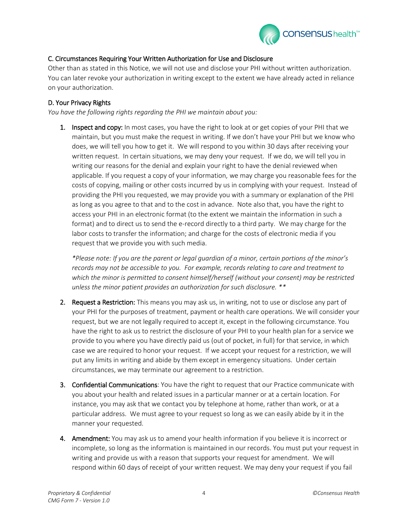

## C. Circumstances Requiring Your Written Authorization for Use and Disclosure

Other than as stated in this Notice, we will not use and disclose your PHI without written authorization. You can later revoke your authorization in writing except to the extent we have already acted in reliance on your authorization.

### D. Your Privacy Rights

*You have the following rights regarding the PHI we maintain about you:* 

1. Inspect and copy: In most cases, you have the right to look at or get copies of your PHI that we maintain, but you must make the request in writing. If we don't have your PHI but we know who does, we will tell you how to get it. We will respond to you within 30 days after receiving your written request. In certain situations, we may deny your request. If we do, we will tell you in writing our reasons for the denial and explain your right to have the denial reviewed when applicable. If you request a copy of your information, we may charge you reasonable fees for the costs of copying, mailing or other costs incurred by us in complying with your request. Instead of providing the PHI you requested, we may provide you with a summary or explanation of the PHI as long as you agree to that and to the cost in advance. Note also that, you have the right to access your PHI in an electronic format (to the extent we maintain the information in such a format) and to direct us to send the e-record directly to a third party. We may charge for the labor costs to transfer the information; and charge for the costs of electronic media if you request that we provide you with such media.

*\*Please note: If you are the parent or legal guardian of a minor, certain portions of the minor's records may not be accessible to you. For example, records relating to care and treatment to which the minor is permitted to consent himself/herself (without your consent) may be restricted unless the minor patient provides an authorization for such disclosure. \*\**

- 2. Request a Restriction: This means you may ask us, in writing, not to use or disclose any part of your PHI for the purposes of treatment, payment or health care operations. We will consider your request, but we are not legally required to accept it, except in the following circumstance. You have the right to ask us to restrict the disclosure of your PHI to your health plan for a service we provide to you where you have directly paid us (out of pocket, in full) for that service, in which case we are required to honor your request. If we accept your request for a restriction, we will put any limits in writing and abide by them except in emergency situations. Under certain circumstances, we may terminate our agreement to a restriction.
- 3. Confidential Communications: You have the right to request that our Practice communicate with you about your health and related issues in a particular manner or at a certain location. For instance, you may ask that we contact you by telephone at home, rather than work, or at a particular address. We must agree to your request so long as we can easily abide by it in the manner your requested.
- 4. Amendment: You may ask us to amend your health information if you believe it is incorrect or incomplete, so long as the information is maintained in our records. You must put your request in writing and provide us with a reason that supports your request for amendment. We will respond within 60 days of receipt of your written request. We may deny your request if you fail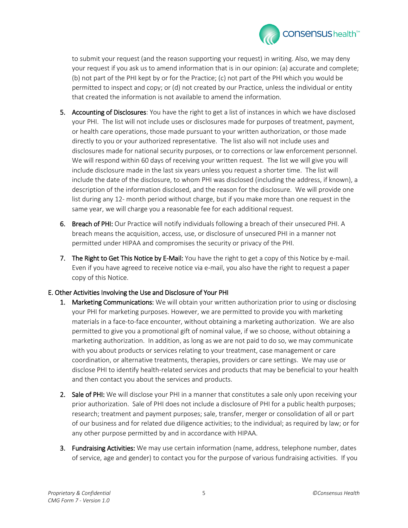

to submit your request (and the reason supporting your request) in writing. Also, we may deny your request if you ask us to amend information that is in our opinion: (a) accurate and complete; (b) not part of the PHI kept by or for the Practice; (c) not part of the PHI which you would be permitted to inspect and copy; or (d) not created by our Practice, unless the individual or entity that created the information is not available to amend the information.

- **5. Accounting of Disclosures**: You have the right to get a list of instances in which we have disclosed your PHI. The list will not include uses or disclosures made for purposes of treatment, payment, or health care operations, those made pursuant to your written authorization, or those made directly to you or your authorized representative. The list also will not include uses and disclosures made for national security purposes, or to corrections or law enforcement personnel. We will respond within 60 days of receiving your written request. The list we will give you will include disclosure made in the last six years unless you request a shorter time. The list will include the date of the disclosure, to whom PHI was disclosed (including the address, if known), a description of the information disclosed, and the reason for the disclosure. We will provide one list during any 12- month period without charge, but if you make more than one request in the same year, we will charge you a reasonable fee for each additional request.
- 6. Breach of PHI: Our Practice will notify individuals following a breach of their unsecured PHI. A breach means the acquisition, access, use, or disclosure of unsecured PHI in a manner not permitted under HIPAA and compromises the security or privacy of the PHI.
- 7. The Right to Get This Notice by E-Mail: You have the right to get a copy of this Notice by e-mail. Even if you have agreed to receive notice via e-mail, you also have the right to request a paper copy of this Notice.

#### E. Other Activities Involving the Use and Disclosure of Your PHI

- 1. Marketing Communications: We will obtain your written authorization prior to using or disclosing your PHI for marketing purposes. However, we are permitted to provide you with marketing materials in a face-to-face encounter, without obtaining a marketing authorization. We are also permitted to give you a promotional gift of nominal value, if we so choose, without obtaining a marketing authorization. In addition, as long as we are not paid to do so, we may communicate with you about products or services relating to your treatment, case management or care coordination, or alternative treatments, therapies, providers or care settings. We may use or disclose PHI to identify health-related services and products that may be beneficial to your health and then contact you about the services and products.
- 2. Sale of PHI: We will disclose your PHI in a manner that constitutes a sale only upon receiving your prior authorization. Sale of PHI does not include a disclosure of PHI for a public health purposes; research; treatment and payment purposes; sale, transfer, merger or consolidation of all or part of our business and for related due diligence activities; to the individual; as required by law; or for any other purpose permitted by and in accordance with HIPAA.
- **3. Fundraising Activities:** We may use certain information (name, address, telephone number, dates of service, age and gender) to contact you for the purpose of various fundraising activities. If you